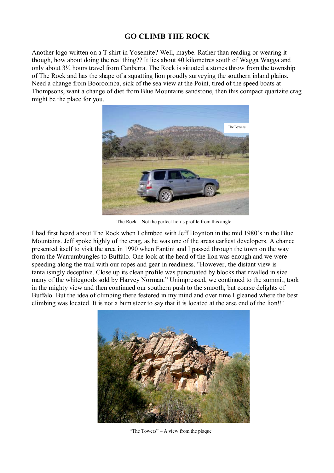## **GO CLIMB THE ROCK**

Another logo written on a T shirt in Yosemite? Well, maybe. Rather than reading or wearing it though, how about doing the real thing?? It lies about 40 kilometres south of Wagga Wagga and only about 3½ hours travel from Canberra. The Rock is situated a stones throw from the township of The Rock and has the shape of a squatting lion proudly surveying the southern inland plains. Need a change from Booroomba, sick of the sea view at the Point, tired of the speed boats at Thompsons, want a change of diet from Blue Mountains sandstone, then this compact quartzite crag might be the place for you.



The Rock  $-$  Not the perfect lion's profile from this angle

I had first heard about The Rock when I climbed with Jeff Boynton in the mid 1980's in the Blue Mountains. Jeff spoke highly of the crag, as he was one of the areas earliest developers. A chance presented itself to visit the area in 1990 when Fantini and I passed through the town on the way from the Warrumbungles to Buffalo. One look at the head of the lion was enough and we were speeding along the trail with our ropes and gear in readiness. "However, the distant view is tantalisingly deceptive. Close up its clean profile was punctuated by blocks that rivalled in size many of the whitegoods sold by Harvey Norman." Unimpressed, we continued to the summit, took in the mighty view and then continued our southern push to the smooth, but coarse delights of Buffalo. But the idea of climbing there festered in my mind and over time I gleaned where the best climbing was located. It is not a bum steer to say that it is located at the arse end of the lion!!!



"The Towers"  $- A$  view from the plaque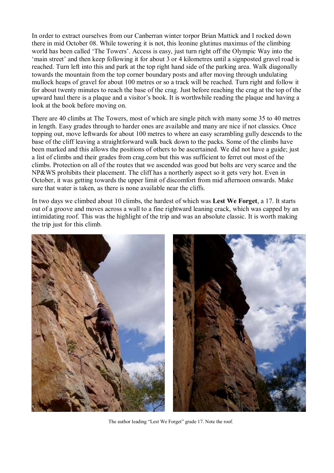In order to extract ourselves from our Canberran winter torpor Brian Mattick and I rocked down there in mid October 08. While towering it is not, this leonine glutinus maximus of the climbing world has been called 'The Towers'. Access is easy, just turn right off the Olympic Way into the 'main street' and then keep following it for about 3 or 4 kilometres until a signposted gravel road is reached. Turn left into this and park at the top right hand side of the parking area. Walk diagonally towards the mountain from the top corner boundary posts and after moving through undulating mullock heaps of gravel for about 100 metres or so a track will be reached. Turn right and follow it for about twenty minutes to reach the base of the crag. Just before reaching the crag at the top of the upward haul there is a plaque and a visitor's book. It is worthwhile reading the plaque and having a look at the book before moving on.

There are 40 climbs at The Towers, most of which are single pitch with many some 35 to 40 metres in length. Easy grades through to harder ones are available and many are nice if not classics. Once topping out, move leftwards for about 100 metres to where an easy scrambling gully descends to the base of the cliff leaving a straightforward walk back down to the packs. Some of the climbs have been marked and this allows the positions of others to be ascertained. We did not have a guide; just a list of climbs and their grades from crag.com but this was sufficient to ferret out most of the climbs. Protection on all of the routes that we ascended was good but bolts are very scarce and the NP&WS prohibits their placement. The cliff has a northerly aspect so it gets very hot. Even in October, it was getting towards the upper limit of discomfort from mid afternoon onwards. Make sure that water is taken, as there is none available near the cliffs.

In two days we climbed about 10 climbs, the hardest of which was **Lest We Forget**, a 17. It starts out of a groove and moves across a wall to a fine rightward leaning crack, which was capped by an intimidating roof. This was the highlight of the trip and was an absolute classic. It is worth making the trip just for this climb.



The author leading "Lest We Forget" grade 17. Note the roof.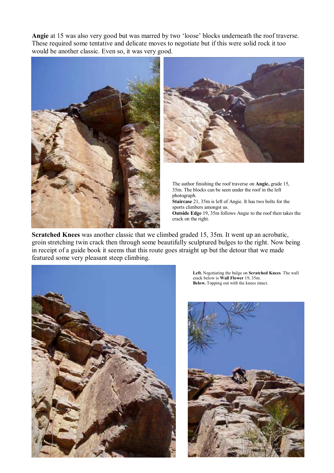Angie at 15 was also very good but was marred by two 'loose' blocks underneath the roof traverse. These required some tentative and delicate moves to negotiate but if this were solid rock it too would be another classic. Even so, it was very good.





The author finishing the roof traverse on **Angie,** grade 15, 35m. The blocks can be seen under the roof in the left photograph. **Staircase** 21, 35m is left of Angie. It has two bolts for the sports climbers amongst us. **Outside Edge** 19, 35m follows Angie to the roof then takes the

**Scratched Knees** was another classic that we climbed graded 15, 35m. It went up an acrobatic, groin stretching twin crack then through some beautifully sculptured bulges to the right. Now being in receipt of a guide book it seems that this route goes straight up but the detour that we made featured some very pleasant steep climbing.

crack on the right.



**Left.** Negotiating the bulge on **Scratched Knees**. The wall crack below is **Wall Flower** 19, 35m. **Below.** Topping out with the knees intact.

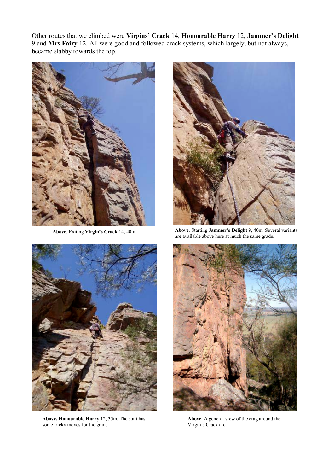Other routes that we climbed were Virgins' Crack 14, Honourable Harry 12, Jammer's Delight 9 and **Mrs Fairy** 12. All were good and followed crack systems, which largely, but not always, became slabby towards the top.





**Above. Honourable Harry** 12, 35m. The start has some tricky moves for the grade.



Above. Exiting Virgin's Crack 14, 40m **Above.** Starting **Jammer's Delight** 9, 40m. Several variants are available above here at much the same grade.



**Above.** A general view of the crag around the Virgin's Crack area.